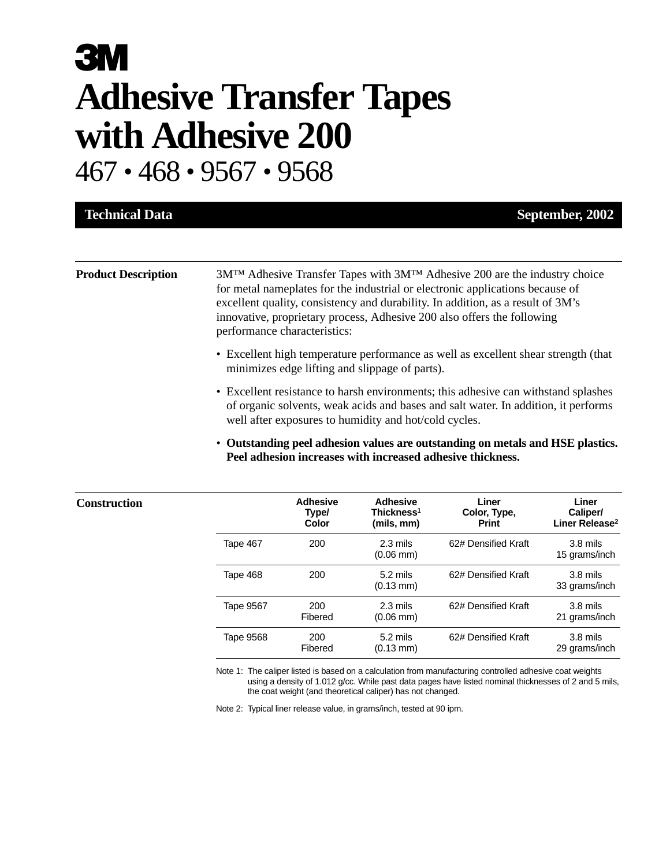# **3M Adhesive Transfer Tapes with Adhesive 200**

467 • 468 • 9567 • 9568

**Construction** 

| <b>Technical Data</b>      | September, 2002                                                                                                                                                                                                                                                                                                                                                |
|----------------------------|----------------------------------------------------------------------------------------------------------------------------------------------------------------------------------------------------------------------------------------------------------------------------------------------------------------------------------------------------------------|
|                            |                                                                                                                                                                                                                                                                                                                                                                |
| <b>Product Description</b> | $3MTM$ Adhesive Transfer Tapes with $3MTM$ Adhesive 200 are the industry choice<br>for metal nameplates for the industrial or electronic applications because of<br>excellent quality, consistency and durability. In addition, as a result of 3M's<br>innovative, proprietary process, Adhesive 200 also offers the following<br>performance characteristics: |
|                            | • Excellent high temperature performance as well as excellent shear strength (that<br>minimizes edge lifting and slippage of parts).                                                                                                                                                                                                                           |
|                            | • Excellent resistance to harsh environments; this adhesive can withstand splashes<br>of organic solvents, weak acids and bases and salt water. In addition, it performs<br>well after exposures to humidity and hot/cold cycles.                                                                                                                              |

• **Outstanding peel adhesion values are outstanding on metals and HSE plastics. Peel adhesion increases with increased adhesive thickness.**

|           | <b>Adhesive</b><br>Type/<br>Color | Adhesive<br>Thickness <sup>1</sup><br>(mils, mm) | Liner<br>Color, Type,<br><b>Print</b> | Liner<br>Caliper/<br>Liner Release <sup>2</sup> |
|-----------|-----------------------------------|--------------------------------------------------|---------------------------------------|-------------------------------------------------|
| Tape 467  | 200                               | 2.3 mils<br>$(0.06 \text{ mm})$                  | 62# Densified Kraft                   | $3.8$ mils<br>15 grams/inch                     |
| Tape 468  | 200                               | $5.2 \text{ miles}$<br>$(0.13 \text{ mm})$       | 62# Densified Kraft                   | $3.8$ mils<br>33 grams/inch                     |
| Tape 9567 | 200<br>Fibered                    | $2.3 \text{ miles}$<br>$(0.06 \text{ mm})$       | 62# Densified Kraft                   | $3.8$ mils<br>21 grams/inch                     |
| Tape 9568 | 200<br>Fibered                    | $5.2$ mils<br>$(0.13 \text{ mm})$                | 62# Densified Kraft                   | $3.8$ mils<br>29 grams/inch                     |

Note 1: The caliper listed is based on a calculation from manufacturing controlled adhesive coat weights using a density of 1.012 g/cc. While past data pages have listed nominal thicknesses of 2 and 5 mils, the coat weight (and theoretical caliper) has not changed.

Note 2: Typical liner release value, in grams/inch, tested at 90 ipm.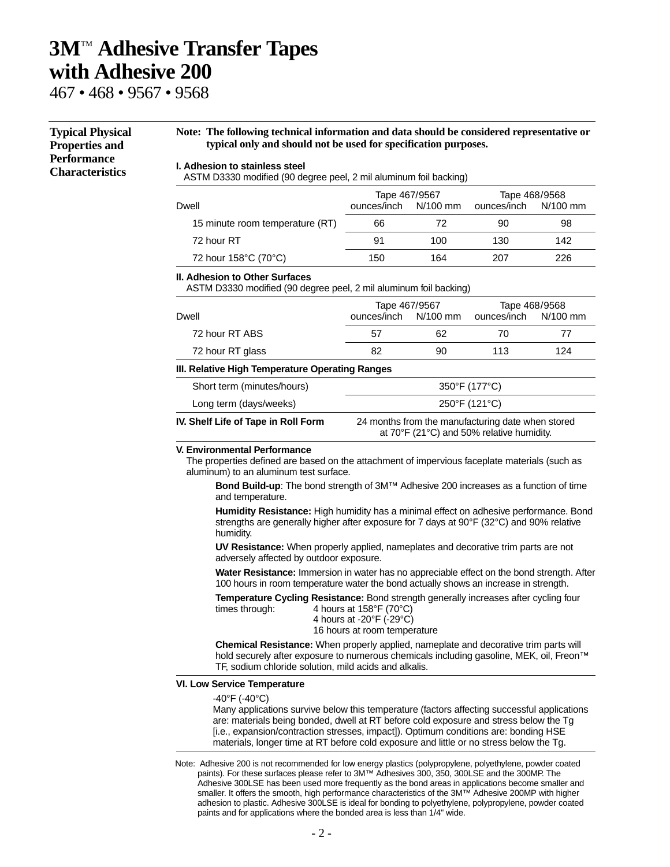## **3M**TM **Adhesive Transfer Tapes with Adhesive 200**

467 • 468 • 9567 • 9568

#### **I. Adhesion to stainless steel** ASTM D3330 modified (90 degree peel, 2 mil aluminum foil backing) **Typical Physical Properties and Performance Characteristics Note: The following technical information and data should be considered representative or typical only and should not be used for specification purposes.**

|                                 | Tape 467/9567        |     | Tape 468/9568        |     |  |
|---------------------------------|----------------------|-----|----------------------|-----|--|
| Dwell                           | ounces/inch N/100 mm |     | ounces/inch N/100 mm |     |  |
| 15 minute room temperature (RT) | 66                   | 72  | 90                   | 98  |  |
| 72 hour RT                      | .91                  | 100 | 130                  | 142 |  |

72 hour 158°C (70°C) 150 164 207 226

#### **II. Adhesion to Other Surfaces**

ASTM D3330 modified (90 degree peel, 2 mil aluminum foil backing)

| Dwell                                           | ounces/inch   | Tape 467/9567<br>N/100 mm | ounces/inch                                                                                    | Tape 468/9568<br>N/100 mm |  |
|-------------------------------------------------|---------------|---------------------------|------------------------------------------------------------------------------------------------|---------------------------|--|
| 72 hour RT ABS                                  | 57            | 62                        | 70                                                                                             | 77                        |  |
| 72 hour RT glass                                | 82            | 90                        | 113                                                                                            | 124                       |  |
| III. Relative High Temperature Operating Ranges |               |                           |                                                                                                |                           |  |
| Short term (minutes/hours)                      |               |                           | 350°F (177°C)                                                                                  |                           |  |
| Long term (days/weeks)                          | 250°F (121°C) |                           |                                                                                                |                           |  |
| IV. Shelf Life of Tape in Roll Form             |               |                           | 24 months from the manufacturing date when stored<br>at 70°F (21°C) and 50% relative humidity. |                           |  |

#### **V. Environmental Performance**

The properties defined are based on the attachment of impervious faceplate materials (such as aluminum) to an aluminum test surface.

**Bond Build-up**: The bond strength of 3M™ Adhesive 200 increases as a function of time and temperature.

**Humidity Resistance:** High humidity has a minimal effect on adhesive performance. Bond strengths are generally higher after exposure for 7 days at 90°F (32°C) and 90% relative humidity.

**UV Resistance:** When properly applied, nameplates and decorative trim parts are not adversely affected by outdoor exposure.

**Water Resistance:** Immersion in water has no appreciable effect on the bond strength. After 100 hours in room temperature water the bond actually shows an increase in strength.

**Temperature Cycling Resistance:** Bond strength generally increases after cycling four<br>times through: A hours at 158°F (70°C) times through:

| $4110013$ at 100 F 170 G/                    |
|----------------------------------------------|
| 4 hours at -20 $\degree$ F (-29 $\degree$ C) |
| 16 hours at room temperature                 |

**Chemical Resistance:** When properly applied, nameplate and decorative trim parts will hold securely after exposure to numerous chemicals including gasoline, MEK, oil, Freon™ TF, sodium chloride solution, mild acids and alkalis.

#### **VI. Low Service Temperature**

-40°F (-40°C)

Many applications survive below this temperature (factors affecting successful applications are: materials being bonded, dwell at RT before cold exposure and stress below the Tg [i.e., expansion/contraction stresses, impact]). Optimum conditions are: bonding HSE materials, longer time at RT before cold exposure and little or no stress below the Tg.

Note: Adhesive 200 is not recommended for low energy plastics (polypropylene, polyethylene, powder coated paints). For these surfaces please refer to 3M™ Adhesives 300, 350, 300LSE and the 300MP. The Adhesive 300LSE has been used more frequently as the bond areas in applications become smaller and smaller. It offers the smooth, high performance characteristics of the 3M™ Adhesive 200MP with higher adhesion to plastic. Adhesive 300LSE is ideal for bonding to polyethylene, polypropylene, powder coated paints and for applications where the bonded area is less than 1/4" wide.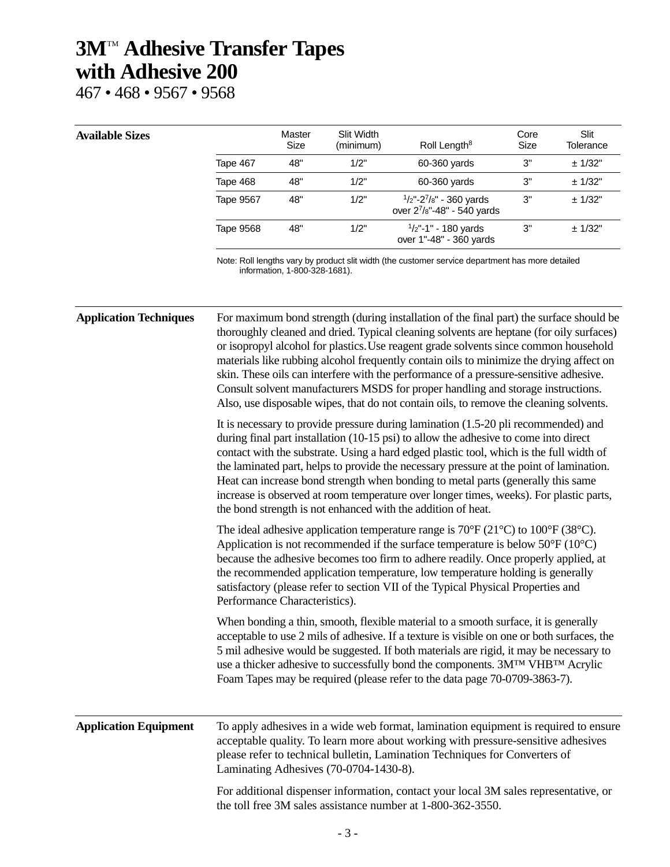## **3M**TM **Adhesive Transfer Tapes with Adhesive 200**

467 • 468 • 9567 • 9568

### **Available Sizes**

|           | Master<br>Size | Slit Width<br>(minimum) | Roll Length <sup>8</sup>                                    | Core<br>Size | Slit<br>Tolerance |
|-----------|----------------|-------------------------|-------------------------------------------------------------|--------------|-------------------|
| Tape 467  | 48"            | 1/2"                    | 60-360 vards                                                | 3"           | ± 1/32"           |
| Tape 468  | 48"            | 1/2"                    | $60-360$ yards                                              | 3"           | ± 1/32"           |
| Tape 9567 | 48"            | 1/2"                    | $1/2$ "-2 $7/8$ " - 360 yards<br>over 27/8"-48" - 540 yards | 3"           | ± 1/32"           |
| Tape 9568 | 48"            | 1/2"                    | $\frac{1}{2}$ "-1" - 180 yards<br>over 1"-48" - 360 yards   | 3"           | ± 1/32"           |

Note: Roll lengths vary by product slit width (the customer service department has more detailed information, 1-800-328-1681).

**Application Techniques** For maximum bond strength (during installation of the final part) the surface should be thoroughly cleaned and dried. Typical cleaning solvents are heptane (for oily surfaces) or isopropyl alcohol for plastics.Use reagent grade solvents since common household materials like rubbing alcohol frequently contain oils to minimize the drying affect on skin. These oils can interfere with the performance of a pressure-sensitive adhesive. Consult solvent manufacturers MSDS for proper handling and storage instructions. Also, use disposable wipes, that do not contain oils, to remove the cleaning solvents. It is necessary to provide pressure during lamination (1.5-20 pli recommended) and during final part installation (10-15 psi) to allow the adhesive to come into direct contact with the substrate. Using a hard edged plastic tool, which is the full width of the laminated part, helps to provide the necessary pressure at the point of lamination. Heat can increase bond strength when bonding to metal parts (generally this same increase is observed at room temperature over longer times, weeks). For plastic parts, the bond strength is not enhanced with the addition of heat. The ideal adhesive application temperature range is  $70^{\circ}F(21^{\circ}C)$  to  $100^{\circ}F(38^{\circ}C)$ . Application is not recommended if the surface temperature is below 50°F (10°C) because the adhesive becomes too firm to adhere readily. Once properly applied, at the recommended application temperature, low temperature holding is generally satisfactory (please refer to section VII of the Typical Physical Properties and Performance Characteristics). When bonding a thin, smooth, flexible material to a smooth surface, it is generally acceptable to use 2 mils of adhesive. If a texture is visible on one or both surfaces, the 5 mil adhesive would be suggested. If both materials are rigid, it may be necessary to use a thicker adhesive to successfully bond the components. 3M<sup>TM</sup> VHB<sup>TM</sup> Acrylic Foam Tapes may be required (please refer to the data page 70-0709-3863-7). **Application Equipment** To apply adhesives in a wide web format, lamination equipment is required to ensure acceptable quality. To learn more about working with pressure-sensitive adhesives please refer to technical bulletin, Lamination Techniques for Converters of Laminating Adhesives (70-0704-1430-8). For additional dispenser information, contact your local 3M sales representative, or the toll free 3M sales assistance number at 1-800-362-3550.